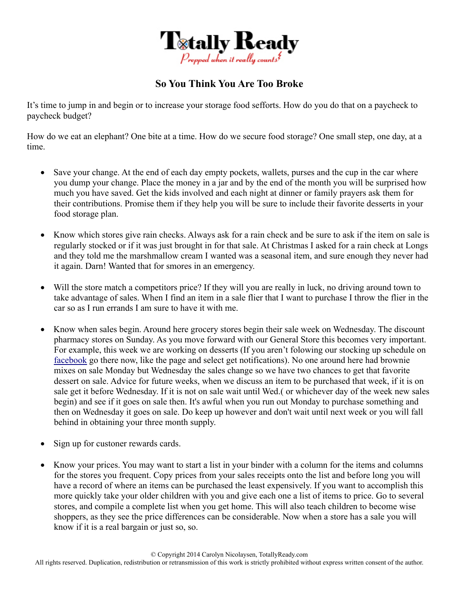

## **So You Think You Are Too Broke**

It's time to jump in and begin or to increase your storage food sefforts. How do you do that on a paycheck to paycheck budget?

How do we eat an elephant? One bite at a time. How do we secure food storage? One small step, one day, at a time.

- Save your change. At the end of each day empty pockets, wallets, purses and the cup in the car where you dump your change. Place the money in a jar and by the end of the month you will be surprised how much you have saved. Get the kids involved and each night at dinner or family prayers ask them for their contributions. Promise them if they help you will be sure to include their favorite desserts in your food storage plan.
- Know which stores give rain checks. Always ask for a rain check and be sure to ask if the item on sale is regularly stocked or if it was just brought in for that sale. At Christmas I asked for a rain check at Longs and they told me the marshmallow cream I wanted was a seasonal item, and sure enough they never had it again. Darn! Wanted that for smores in an emergency.
- Will the store match a competitors price? If they will you are really in luck, no driving around town to take advantage of sales. When I find an item in a sale flier that I want to purchase I throw the flier in the car so as I run errands I am sure to have it with me.
- Know when sales begin. Around here grocery stores begin their sale week on Wednesday. The discount pharmacy stores on Sunday. As you move forward with our General Store this becomes very important. For example, this week we are working on desserts (If you aren't folowing our stocking up schedule on facebook go there now, like the page and select get notifications). No one around here had brownie mixes on sale Monday but Wednesday the sales change so we have two chances to get that favorite dessert on sale. Advice for future weeks, when we discuss an item to be purchased that week, if it is on sale get it before Wednesday. If it is not on sale wait until Wed.( or whichever day of the week new sales begin) and see if it goes on sale then. It's awful when you run out Monday to purchase something and then on Wednesday it goes on sale. Do keep up however and don't wait until next week or you will fall behind in obtaining your three month supply.
- Sign up for custoner rewards cards.
- Know your prices. You may want to start a list in your binder with a column for the items and columns for the stores you frequent. Copy prices from your sales receipts onto the list and before long you will have a record of where an items can be purchased the least expensively. If you want to accomplish this more quickly take your older children with you and give each one a list of items to price. Go to several stores, and compile a complete list when you get home. This will also teach children to become wise shoppers, as they see the price differences can be considerable. Now when a store has a sale you will know if it is a real bargain or just so, so.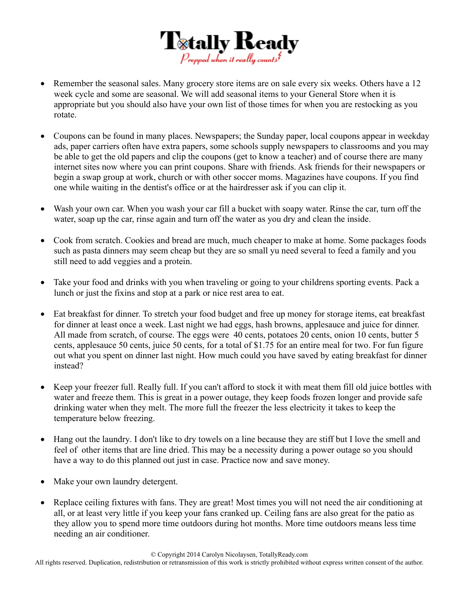

- Remember the seasonal sales. Many grocery store items are on sale every six weeks. Others have a 12 week cycle and some are seasonal. We will add seasonal items to your General Store when it is appropriate but you should also have your own list of those times for when you are restocking as you rotate.
- Coupons can be found in many places. Newspapers; the Sunday paper, local coupons appear in weekday ads, paper carriers often have extra papers, some schools supply newspapers to classrooms and you may be able to get the old papers and clip the coupons (get to know a teacher) and of course there are many internet sites now where you can print coupons. Share with friends. Ask friends for their newspapers or begin a swap group at work, church or with other soccer moms. Magazines have coupons. If you find one while waiting in the dentist's office or at the hairdresser ask if you can clip it.
- Wash your own car. When you wash your car fill a bucket with soapy water. Rinse the car, turn off the water, soap up the car, rinse again and turn off the water as you dry and clean the inside.
- Cook from scratch. Cookies and bread are much, much cheaper to make at home. Some packages foods such as pasta dinners may seem cheap but they are so small yu need several to feed a family and you still need to add veggies and a protein.
- Take your food and drinks with you when traveling or going to your childrens sporting events. Pack a lunch or just the fixins and stop at a park or nice rest area to eat.
- Eat breakfast for dinner. To stretch your food budget and free up money for storage items, eat breakfast for dinner at least once a week. Last night we had eggs, hash browns, applesauce and juice for dinner. All made from scratch, of course. The eggs were 40 cents, potatoes 20 cents, onion 10 cents, butter 5 cents, applesauce 50 cents, juice 50 cents, for a total of \$1.75 for an entire meal for two. For fun figure out what you spent on dinner last night. How much could you have saved by eating breakfast for dinner instead?
- Keep your freezer full. Really full. If you can't afford to stock it with meat them fill old juice bottles with water and freeze them. This is great in a power outage, they keep foods frozen longer and provide safe drinking water when they melt. The more full the freezer the less electricity it takes to keep the temperature below freezing.
- Hang out the laundry. I don't like to dry towels on a line because they are stiff but I love the smell and feel of other items that are line dried. This may be a necessity during a power outage so you should have a way to do this planned out just in case. Practice now and save money.
- Make your own laundry detergent.
- Replace ceiling fixtures with fans. They are great! Most times you will not need the air conditioning at all, or at least very little if you keep your fans cranked up. Ceiling fans are also great for the patio as they allow you to spend more time outdoors during hot months. More time outdoors means less time needing an air conditioner.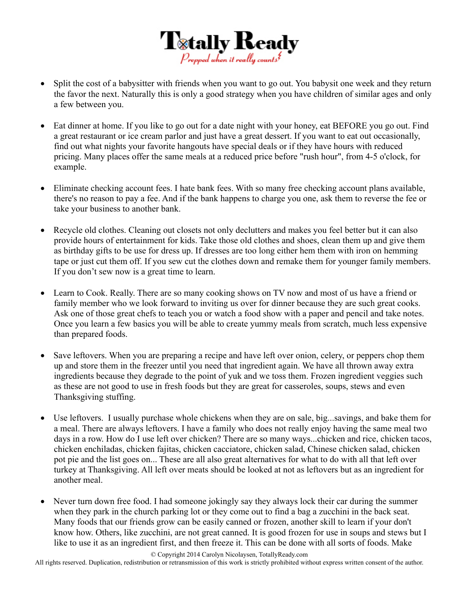

- Split the cost of a babysitter with friends when you want to go out. You babysit one week and they return the favor the next. Naturally this is only a good strategy when you have children of similar ages and only a few between you.
- Eat dinner at home. If you like to go out for a date night with your honey, eat BEFORE you go out. Find a great restaurant or ice cream parlor and just have a great dessert. If you want to eat out occasionally, find out what nights your favorite hangouts have special deals or if they have hours with reduced pricing. Many places offer the same meals at a reduced price before "rush hour", from 4-5 o'clock, for example.
- Eliminate checking account fees. I hate bank fees. With so many free checking account plans available, there's no reason to pay a fee. And if the bank happens to charge you one, ask them to reverse the fee or take your business to another bank.
- Recycle old clothes. Cleaning out closets not only declutters and makes you feel better but it can also provide hours of entertainment for kids. Take those old clothes and shoes, clean them up and give them as birthday gifts to be use for dress up. If dresses are too long either hem them with iron on hemming tape or just cut them off. If you sew cut the clothes down and remake them for younger family members. If you don't sew now is a great time to learn.
- Learn to Cook. Really. There are so many cooking shows on TV now and most of us have a friend or family member who we look forward to inviting us over for dinner because they are such great cooks. Ask one of those great chefs to teach you or watch a food show with a paper and pencil and take notes. Once you learn a few basics you will be able to create yummy meals from scratch, much less expensive than prepared foods.
- Save leftovers. When you are preparing a recipe and have left over onion, celery, or peppers chop them up and store them in the freezer until you need that ingredient again. We have all thrown away extra ingredients because they degrade to the point of yuk and we toss them. Frozen ingredient veggies such as these are not good to use in fresh foods but they are great for casseroles, soups, stews and even Thanksgiving stuffing.
- Use leftovers. I usually purchase whole chickens when they are on sale, big...savings, and bake them for a meal. There are always leftovers. I have a family who does not really enjoy having the same meal two days in a row. How do I use left over chicken? There are so many ways...chicken and rice, chicken tacos, chicken enchiladas, chicken fajitas, chicken cacciatore, chicken salad, Chinese chicken salad, chicken pot pie and the list goes on... These are all also great alternatives for what to do with all that left over turkey at Thanksgiving. All left over meats should be looked at not as leftovers but as an ingredient for another meal.
- Never turn down free food. I had someone jokingly say they always lock their car during the summer when they park in the church parking lot or they come out to find a bag a zucchini in the back seat. Many foods that our friends grow can be easily canned or frozen, another skill to learn if your don't know how. Others, like zucchini, are not great canned. It is good frozen for use in soups and stews but I like to use it as an ingredient first, and then freeze it. This can be done with all sorts of foods. Make

All rights reserved. Duplication, redistribution or retransmission of this work is strictly prohibited without express written consent of the author.